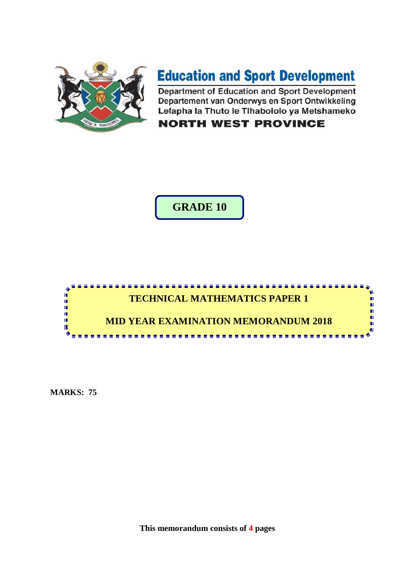

# **Education and Sport Development**

Department of Education and Sport Development Departement van Onderwys en Sport Ontwikkeling Lefapha la Thuto le Tlhabololo ya Metshameko

**NORTH WEST PROVINCE** 

**GRADE 10**



**MARKS: 75**

**This memorandum consists of 4 pages**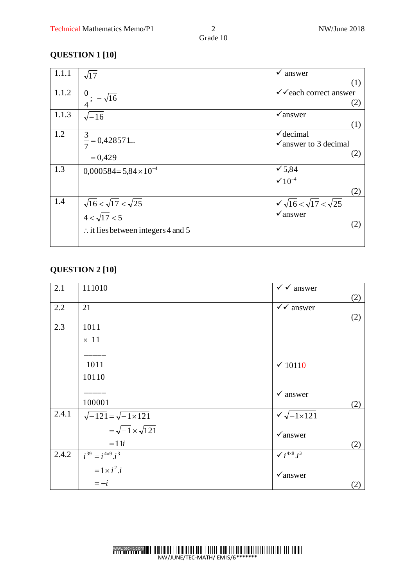## Grade 10

### **QUESTION 1 [10]**

| 1.1.1 | $\sqrt{17}$                                   | $\checkmark$ answer                 |
|-------|-----------------------------------------------|-------------------------------------|
|       |                                               | (1)                                 |
| 1.1.2 |                                               | $\checkmark$ each correct answer    |
|       | $\frac{0}{4}$ ; $-\sqrt{16}$                  | (2)                                 |
| 1.1.3 | $\sqrt{-16}$                                  | $\sqrt{a}$ nswer                    |
|       |                                               | (1)                                 |
| 1.2   |                                               | $\checkmark$ decimal                |
|       | $\frac{3}{7}$ = 0,428571                      | $\checkmark$ answer to 3 decimal    |
|       | $= 0,429$                                     | (2)                                 |
| 1.3   | $0,000584 = 5,84 \times 10^{-4}$              |                                     |
|       |                                               | $\sqrt{5,84}$<br>$\sqrt{10^{-4}}$   |
|       |                                               | (2)                                 |
| 1.4   | $\sqrt{16} < \sqrt{17} < \sqrt{25}$           | $\sqrt{16} < \sqrt{17} < \sqrt{25}$ |
|       | $4 < \sqrt{17} < 5$                           | $\checkmark$ answer                 |
|       |                                               | (2)                                 |
|       | $\therefore$ it lies between integers 4 and 5 |                                     |
|       |                                               |                                     |

#### **QUESTION 2 [10]**

| 2.1   | 111010                               | $\checkmark$ answer          |
|-------|--------------------------------------|------------------------------|
|       |                                      | (2)                          |
| 2.2   | 21                                   | $\checkmark$ answer          |
|       |                                      | (2)                          |
| 2.3   | 1011                                 |                              |
|       | $\times$ 11                          |                              |
|       |                                      |                              |
|       | 1011                                 | $\times 10110$               |
|       | 10110                                |                              |
|       |                                      | $\checkmark$ answer          |
|       | 100001                               | (2)                          |
| 2.4.1 | $\sqrt{-121} = \sqrt{-1 \times 121}$ | $\sqrt{-1\times121}$         |
|       | $=\sqrt{-1}\times\sqrt{121}$         | $\checkmark$ answer          |
|       | $=11i$                               | (2)                          |
| 2.4.2 | $i^{39} = i^{4 \times 9} \cdot i^3$  | $\check{i}^{4\times9}$ $i^3$ |
|       | $= 1 \times i^2 \cdot i$             | $\checkmark$ answer          |
|       | $=-i$                                | $\rm(2)$                     |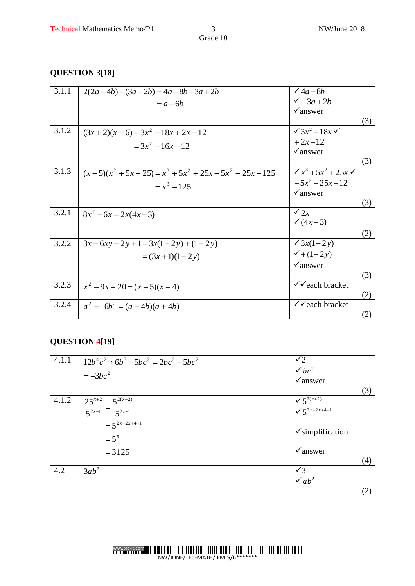## Grade 10

#### **QUESTION 3[18]**

| 3.1.1 | $2(2a-4b)-(3a-2b)=4a-8b-3a+2b$                           | $\sqrt{4a-8b}$            |     |
|-------|----------------------------------------------------------|---------------------------|-----|
|       | $= a - 6b$                                               | $\sqrt{-3a+2b}$           |     |
|       |                                                          | $\sqrt{a}$ nswer          |     |
|       |                                                          |                           | (3) |
| 3.1.2 | $(3x+2)(x-6) = 3x^2 - 18x + 2x - 12$                     | $\sqrt{3x^2-18x}$         |     |
|       | $=3x^2-16x-12$                                           | $+2x-12$                  |     |
|       |                                                          | $\checkmark$ answer       |     |
|       |                                                          |                           | (3) |
| 3.1.3 | $(x-5)(x^2+5x+25) = x^3 + 5x^2 + 25x - 5x^2 - 25x - 125$ | $\sqrt{x^3 + 5x^2 + 25x}$ |     |
|       | $= x^3 - 125$                                            | $-5x^2 - 25x - 12$        |     |
|       |                                                          | $\checkmark$ answer       |     |
|       |                                                          |                           | (3) |
| 3.2.1 | $8x^2-6x=2x(4x-3)$                                       | $\checkmark$ 2x           |     |
|       |                                                          | $\checkmark$ (4x-3)       |     |
|       |                                                          |                           | (2) |
| 3.2.2 | $3x-6xy-2y+1=3x(1-2y)+(1-2y)$                            | $\sqrt{3x(1-2y)}$         |     |
|       | $=(3x+1)(1-2y)$                                          | $\checkmark$ + (1 – 2 y)  |     |
|       |                                                          | $\sqrt{a}$ nswer          |     |
|       |                                                          |                           | (3) |
| 3.2.3 | $x^2-9x+20=(x-5)(x-4)$                                   | $\checkmark$ each bracket |     |
|       |                                                          |                           | (2) |
| 3.2.4 | $a^{2} - 16b^{2} = (a - 4b)(a + 4b)$                     | $\checkmark$ each bracket |     |
|       |                                                          |                           | (2) |

### **QUESTION 4[19]**

| 4.1.1 | $12b^4c^2 \div 6b^3 - 5bc^2 = 2bc^2 - 5bc^2$<br>$=-3bc^2$                                             | $\sqrt{2}$<br>$\sqrt{bc^2}$<br>$\sqrt{a}$ nswer                                                                            | (3)               |
|-------|-------------------------------------------------------------------------------------------------------|----------------------------------------------------------------------------------------------------------------------------|-------------------|
| 4.1.2 | $\frac{25^{x+2}}{5^{2x-1}} = \frac{5^{2(x+2)}}{5^{2x-1}}$<br>$=5^{2x-2x+4+1}$<br>$=5^{5}$<br>$= 3125$ | $\checkmark$ 5 <sup>2(x+2)</sup><br>$\checkmark$ 5 <sup>2x-2x+4+1</sup><br>$\checkmark$ simplification<br>$\sqrt{a}$ nswer | (4)               |
| 4.2   | $3ab^2$                                                                                               | $\sqrt{3}$<br>$\sqrt{ab^2}$                                                                                                | $\left( 2\right)$ |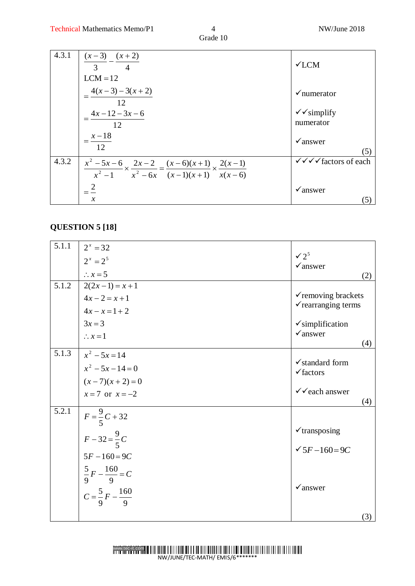| 4.3.1 | $\frac{(x-3)}{3} - \frac{(x+2)}{4}$                                                                              | $\checkmark$ LCM                                       |
|-------|------------------------------------------------------------------------------------------------------------------|--------------------------------------------------------|
|       | $LCM = 12$                                                                                                       |                                                        |
|       | $=\frac{4(x-3)-3(x+2)}{12}$                                                                                      | $\checkmark$ numerator                                 |
|       | $-\frac{4x-12-3x-6}{x}$<br>12                                                                                    | $\checkmark$ implify<br>numerator                      |
|       | $=\frac{x-18}{x}$<br>12                                                                                          | $\sqrt{a}$ nswer<br>(5)                                |
| 4.3.2 | $\frac{x^2-5x-6}{x^2-1} \times \frac{2x-2}{x^2-6x} = \frac{(x-6)(x+1)}{(x-1)(x+1)} \times \frac{2(x-1)}{x(x-6)}$ | $\checkmark$ $\checkmark$ $\checkmark$ factors of each |
|       | х                                                                                                                | $\sqrt{a}$ nswer<br>(5)                                |

## **QUESTION 5 [18]**

| 5.1.1 | $2^{x} = 32$                       |                                     |
|-------|------------------------------------|-------------------------------------|
|       | $2^{x} = 2^{5}$                    | $\sqrt{2^5}$<br>$\checkmark$ answer |
|       | $\therefore x = 5$                 | (2)                                 |
| 5.1.2 | $2(2x-1) = x+1$                    |                                     |
|       | $4x - 2 = x + 1$                   | √removing brackets                  |
|       | $4x - x = 1 + 2$                   | $\checkmark$ rearranging terms      |
|       | $3x = 3$                           | $\checkmark$ simplification         |
|       | $\therefore$ $x=1$                 | $\checkmark$ answer                 |
|       |                                    | (4)                                 |
| 5.1.3 | $x^2 - 5x = 14$                    | $\checkmark$ standard form          |
|       | $x^2-5x-14=0$                      | $\checkmark$ factors                |
|       | $(x-7)(x+2) = 0$                   |                                     |
|       | $x=7$ or $x=-2$                    | $\checkmark$ each answer            |
|       |                                    | (4)                                 |
| 5.2.1 | $F = \frac{9}{5}C + 32$            |                                     |
|       | $F - 32 = \frac{9}{5}C$            | $\checkmark$ transposing            |
|       |                                    | $\sqrt{5F-160}=9C$                  |
|       | $5F - 160 = 9C$                    |                                     |
|       | $rac{5}{9}F - \frac{160}{9} = C$   |                                     |
|       |                                    |                                     |
|       | $C = \frac{5}{9}F - \frac{160}{9}$ | $\checkmark$ answer                 |
|       |                                    |                                     |
|       |                                    | (3)                                 |

www.tec-it.com NW/JUNE/TEC-MATH/ EMIS/6\*\*\*\*\*\*\*